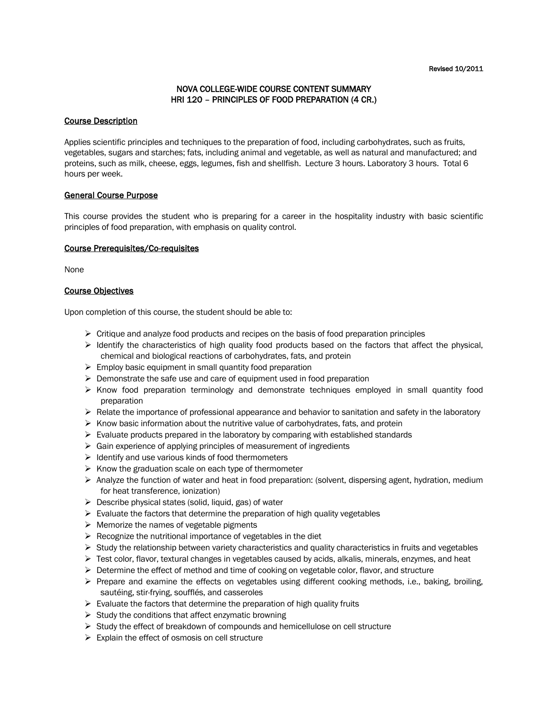## NOVA COLLEGE-WIDE COURSE CONTENT SUMMARY HRI 120 – PRINCIPLES OF FOOD PREPARATION (4 CR.)

#### Course Description

Applies scientific principles and techniques to the preparation of food, including carbohydrates, such as fruits, vegetables, sugars and starches; fats, including animal and vegetable, as well as natural and manufactured; and proteins, such as milk, cheese, eggs, legumes, fish and shellfish. Lecture 3 hours. Laboratory 3 hours. Total 6 hours per week.

### General Course Purpose

This course provides the student who is preparing for a career in the hospitality industry with basic scientific principles of food preparation, with emphasis on quality control.

### Course Prerequisites/Co-requisites

None

### Course Objectives

Upon completion of this course, the student should be able to:

- $\triangleright$  Critique and analyze food products and recipes on the basis of food preparation principles
- $\triangleright$  Identify the characteristics of high quality food products based on the factors that affect the physical, chemical and biological reactions of carbohydrates, fats, and protein
- $\triangleright$  Employ basic equipment in small quantity food preparation
- $\triangleright$  Demonstrate the safe use and care of equipment used in food preparation
- $\triangleright$  Know food preparation terminology and demonstrate techniques employed in small quantity food preparation
- $\triangleright$  Relate the importance of professional appearance and behavior to sanitation and safety in the laboratory
- $\triangleright$  Know basic information about the nutritive value of carbohydrates, fats, and protein
- $\triangleright$  Evaluate products prepared in the laboratory by comparing with established standards
- $\triangleright$  Gain experience of applying principles of measurement of ingredients
- $\triangleright$  Identify and use various kinds of food thermometers
- $\triangleright$  Know the graduation scale on each type of thermometer
- $\triangleright$  Analyze the function of water and heat in food preparation: (solvent, dispersing agent, hydration, medium for heat transference, ionization)
- $\triangleright$  Describe physical states (solid, liquid, gas) of water
- $\triangleright$  Evaluate the factors that determine the preparation of high quality vegetables
- $\triangleright$  Memorize the names of vegetable pigments
- $\triangleright$  Recognize the nutritional importance of vegetables in the diet
- $\triangleright$  Study the relationship between variety characteristics and quality characteristics in fruits and vegetables
- $\triangleright$  Test color, flavor, textural changes in vegetables caused by acids, alkalis, minerals, enzymes, and heat
- $\triangleright$  Determine the effect of method and time of cooking on vegetable color, flavor, and structure
- Prepare and examine the effects on vegetables using different cooking methods, i.e., baking, broiling, sautéing, stir-frying, soufflés, and casseroles
- $\triangleright$  Evaluate the factors that determine the preparation of high quality fruits
- $\triangleright$  Study the conditions that affect enzymatic browning
- $\triangleright$  Study the effect of breakdown of compounds and hemicellulose on cell structure
- $\triangleright$  Explain the effect of osmosis on cell structure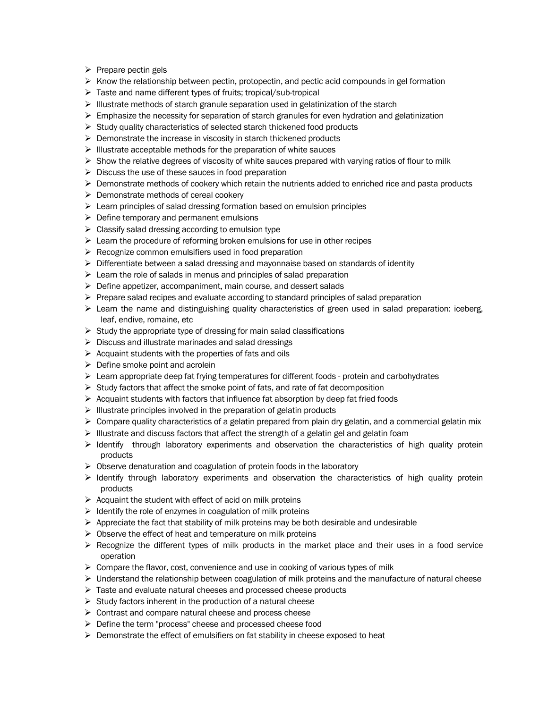- $\triangleright$  Prepare pectin gels
- $\triangleright$  Know the relationship between pectin, protopectin, and pectic acid compounds in gel formation
- Taste and name different types of fruits; tropical/sub-tropical
- $\triangleright$  Illustrate methods of starch granule separation used in gelatinization of the starch
- $\triangleright$  Emphasize the necessity for separation of starch granules for even hydration and gelatinization
- $\triangleright$  Study quality characteristics of selected starch thickened food products
- $\triangleright$  Demonstrate the increase in viscosity in starch thickened products
- $\triangleright$  Illustrate acceptable methods for the preparation of white sauces
- $\triangleright$  Show the relative degrees of viscosity of white sauces prepared with varying ratios of flour to milk
- $\triangleright$  Discuss the use of these sauces in food preparation
- $\triangleright$  Demonstrate methods of cookery which retain the nutrients added to enriched rice and pasta products
- $\triangleright$  Demonstrate methods of cereal cookery
- Exern principles of salad dressing formation based on emulsion principles
- $\triangleright$  Define temporary and permanent emulsions
- $\triangleright$  Classify salad dressing according to emulsion type
- $\triangleright$  Learn the procedure of reforming broken emulsions for use in other recipes
- $\triangleright$  Recognize common emulsifiers used in food preparation
- $\triangleright$  Differentiate between a salad dressing and mayonnaise based on standards of identity
- $\triangleright$  Learn the role of salads in menus and principles of salad preparation
- $\triangleright$  Define appetizer, accompaniment, main course, and dessert salads
- $\triangleright$  Prepare salad recipes and evaluate according to standard principles of salad preparation
- $\triangleright$  Learn the name and distinguishing quality characteristics of green used in salad preparation: iceberg, leaf, endive, romaine, etc
- $\triangleright$  Study the appropriate type of dressing for main salad classifications
- $\triangleright$  Discuss and illustrate marinades and salad dressings
- $\triangleright$  Acquaint students with the properties of fats and oils
- $\triangleright$  Define smoke point and acrolein
- $\triangleright$  Learn appropriate deep fat frying temperatures for different foods protein and carbohydrates
- $\triangleright$  Study factors that affect the smoke point of fats, and rate of fat decomposition
- $\triangleright$  Acquaint students with factors that influence fat absorption by deep fat fried foods
- $\triangleright$  Illustrate principles involved in the preparation of gelatin products
- $\triangleright$  Compare quality characteristics of a gelatin prepared from plain dry gelatin, and a commercial gelatin mix
- $\triangleright$  Illustrate and discuss factors that affect the strength of a gelatin gel and gelatin foam
- $\triangleright$  Identify through laboratory experiments and observation the characteristics of high quality protein products
- $\triangleright$  Observe denaturation and coagulation of protein foods in the laboratory
- $\triangleright$  Identify through laboratory experiments and observation the characteristics of high quality protein products
- $\triangleright$  Acquaint the student with effect of acid on milk proteins
- $\triangleright$  Identify the role of enzymes in coagulation of milk proteins
- $\triangleright$  Appreciate the fact that stability of milk proteins may be both desirable and undesirable
- $\triangleright$  Observe the effect of heat and temperature on milk proteins
- $\triangleright$  Recognize the different types of milk products in the market place and their uses in a food service operation
- $\triangleright$  Compare the flavor, cost, convenience and use in cooking of various types of milk
- $\triangleright$  Understand the relationship between coagulation of milk proteins and the manufacture of natural cheese
- $\triangleright$  Taste and evaluate natural cheeses and processed cheese products
- $\triangleright$  Study factors inherent in the production of a natural cheese
- $\triangleright$  Contrast and compare natural cheese and process cheese
- Define the term "process" cheese and processed cheese food
- $\triangleright$  Demonstrate the effect of emulsifiers on fat stability in cheese exposed to heat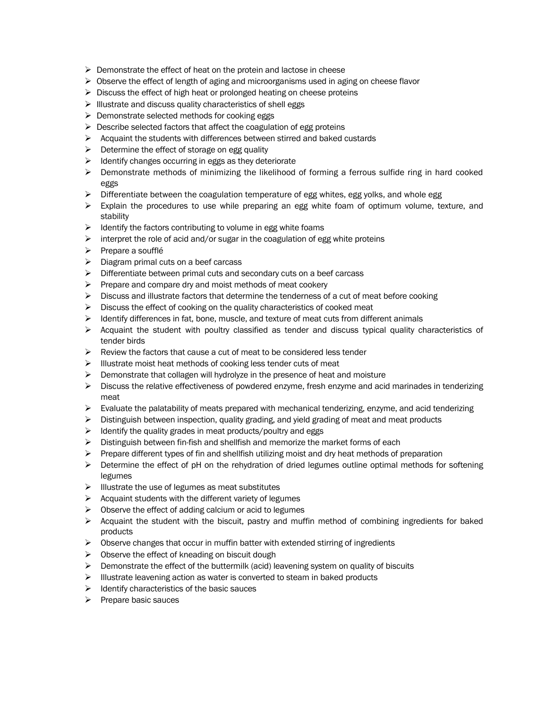- $\triangleright$  Demonstrate the effect of heat on the protein and lactose in cheese
- $\triangleright$  Observe the effect of length of aging and microorganisms used in aging on cheese flavor
- $\triangleright$  Discuss the effect of high heat or prolonged heating on cheese proteins
- $\triangleright$  Illustrate and discuss quality characteristics of shell eggs
- $\triangleright$  Demonstrate selected methods for cooking eggs
- $\triangleright$  Describe selected factors that affect the coagulation of egg proteins
- $\triangleright$  Acquaint the students with differences between stirred and baked custards
- $\triangleright$  Determine the effect of storage on egg quality
- $\triangleright$  Identify changes occurring in eggs as they deteriorate
- $\triangleright$  Demonstrate methods of minimizing the likelihood of forming a ferrous sulfide ring in hard cooked eggs
- $\triangleright$  Differentiate between the coagulation temperature of egg whites, egg yolks, and whole egg
- $\triangleright$  Explain the procedures to use while preparing an egg white foam of optimum volume, texture, and stability
- $\triangleright$  Identify the factors contributing to volume in egg white foams
- $\triangleright$  interpret the role of acid and/or sugar in the coagulation of egg white proteins
- $\triangleright$  Prepare a soufflé
- $\triangleright$  Diagram primal cuts on a beef carcass
- $\triangleright$  Differentiate between primal cuts and secondary cuts on a beef carcass
- $\triangleright$  Prepare and compare dry and moist methods of meat cookery
- $\triangleright$  Discuss and illustrate factors that determine the tenderness of a cut of meat before cooking
- $\triangleright$  Discuss the effect of cooking on the quality characteristics of cooked meat
- $\triangleright$  Identify differences in fat, bone, muscle, and texture of meat cuts from different animals
- $\triangleright$  Acquaint the student with poultry classified as tender and discuss typical quality characteristics of tender birds
- $\triangleright$  Review the factors that cause a cut of meat to be considered less tender
- $\triangleright$  Illustrate moist heat methods of cooking less tender cuts of meat
- $\triangleright$  Demonstrate that collagen will hydrolyze in the presence of heat and moisture
- $\triangleright$  Discuss the relative effectiveness of powdered enzyme, fresh enzyme and acid marinades in tenderizing meat
- $\triangleright$  Evaluate the palatability of meats prepared with mechanical tenderizing, enzyme, and acid tenderizing
- $\triangleright$  Distinguish between inspection, quality grading, and yield grading of meat and meat products
- $\triangleright$  Identify the quality grades in meat products/poultry and eggs
- $\triangleright$  Distinguish between fin-fish and shellfish and memorize the market forms of each
- $\triangleright$  Prepare different types of fin and shellfish utilizing moist and dry heat methods of preparation
- $\triangleright$  Determine the effect of pH on the rehydration of dried legumes outline optimal methods for softening legumes
- $\triangleright$  Illustrate the use of legumes as meat substitutes
- $\triangleright$  Acquaint students with the different variety of legumes
- $\triangleright$  Observe the effect of adding calcium or acid to legumes
- $\triangleright$  Acquaint the student with the biscuit, pastry and muffin method of combining ingredients for baked products
- $\triangleright$  Observe changes that occur in muffin batter with extended stirring of ingredients
- $\triangleright$  Observe the effect of kneading on biscuit dough
- $\triangleright$  Demonstrate the effect of the buttermilk (acid) leavening system on quality of biscuits
- $\triangleright$  Illustrate leavening action as water is converted to steam in baked products
- $\triangleright$  Identify characteristics of the basic sauces
- $\triangleright$  Prepare basic sauces